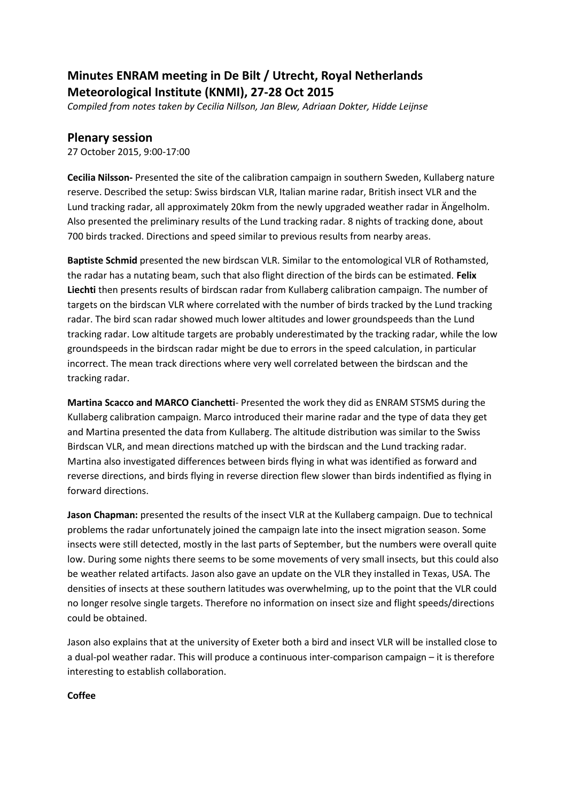# **Minutes ENRAM meeting in De Bilt / Utrecht, Royal Netherlands Meteorological Institute (KNMI), 27-28 Oct 2015**

*Compiled from notes taken by Cecilia Nillson, Jan Blew, Adriaan Dokter, Hidde Leijnse*

# **Plenary session**

27 October 2015, 9:00-17:00

**Cecilia Nilsson-** Presented the site of the calibration campaign in southern Sweden, Kullaberg nature reserve. Described the setup: Swiss birdscan VLR, Italian marine radar, British insect VLR and the Lund tracking radar, all approximately 20km from the newly upgraded weather radar in Ängelholm. Also presented the preliminary results of the Lund tracking radar. 8 nights of tracking done, about 700 birds tracked. Directions and speed similar to previous results from nearby areas.

**Baptiste Schmid** presented the new birdscan VLR. Similar to the entomological VLR of Rothamsted, the radar has a nutating beam, such that also flight direction of the birds can be estimated. **Felix Liechti** then presents results of birdscan radar from Kullaberg calibration campaign. The number of targets on the birdscan VLR where correlated with the number of birds tracked by the Lund tracking radar. The bird scan radar showed much lower altitudes and lower groundspeeds than the Lund tracking radar. Low altitude targets are probably underestimated by the tracking radar, while the low groundspeeds in the birdscan radar might be due to errors in the speed calculation, in particular incorrect. The mean track directions where very well correlated between the birdscan and the tracking radar.

**Martina Scacco and MARCO Cianchetti**- Presented the work they did as ENRAM STSMS during the Kullaberg calibration campaign. Marco introduced their marine radar and the type of data they get and Martina presented the data from Kullaberg. The altitude distribution was similar to the Swiss Birdscan VLR, and mean directions matched up with the birdscan and the Lund tracking radar. Martina also investigated differences between birds flying in what was identified as forward and reverse directions, and birds flying in reverse direction flew slower than birds indentified as flying in forward directions.

**Jason Chapman:** presented the results of the insect VLR at the Kullaberg campaign. Due to technical problems the radar unfortunately joined the campaign late into the insect migration season. Some insects were still detected, mostly in the last parts of September, but the numbers were overall quite low. During some nights there seems to be some movements of very small insects, but this could also be weather related artifacts. Jason also gave an update on the VLR they installed in Texas, USA. The densities of insects at these southern latitudes was overwhelming, up to the point that the VLR could no longer resolve single targets. Therefore no information on insect size and flight speeds/directions could be obtained.

Jason also explains that at the university of Exeter both a bird and insect VLR will be installed close to a dual-pol weather radar. This will produce a continuous inter-comparison campaign – it is therefore interesting to establish collaboration.

#### **Coffee**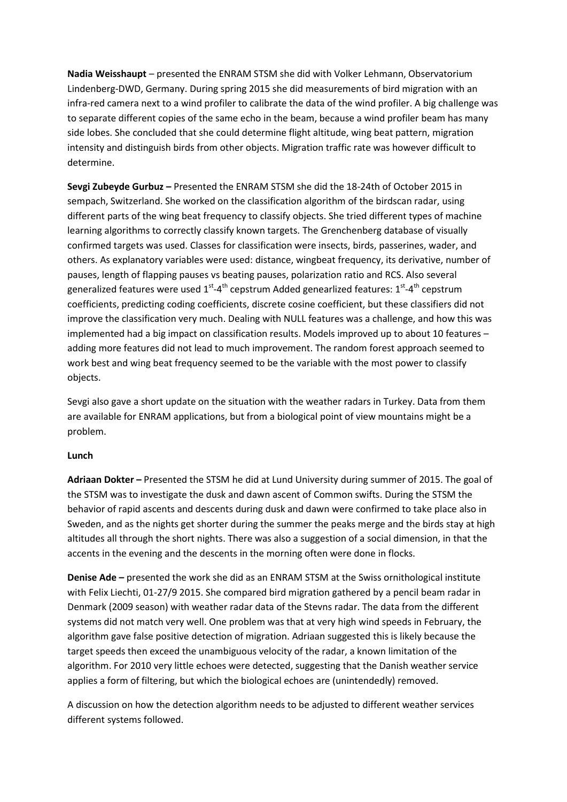**Nadia Weisshaupt** – presented the ENRAM STSM she did with Volker Lehmann, Observatorium Lindenberg-DWD, Germany. During spring 2015 she did measurements of bird migration with an infra-red camera next to a wind profiler to calibrate the data of the wind profiler. A big challenge was to separate different copies of the same echo in the beam, because a wind profiler beam has many side lobes. She concluded that she could determine flight altitude, wing beat pattern, migration intensity and distinguish birds from other objects. Migration traffic rate was however difficult to determine.

**Sevgi Zubeyde Gurbuz –** Presented the ENRAM STSM she did the 18-24th of October 2015 in sempach, Switzerland. She worked on the classification algorithm of the birdscan radar, using different parts of the wing beat frequency to classify objects. She tried different types of machine learning algorithms to correctly classify known targets. The Grenchenberg database of visually confirmed targets was used. Classes for classification were insects, birds, passerines, wader, and others. As explanatory variables were used: distance, wingbeat frequency, its derivative, number of pauses, length of flapping pauses vs beating pauses, polarization ratio and RCS. Also several generalized features were used 1<sup>st</sup>-4<sup>th</sup> cepstrum Added genearlized features: 1<sup>st</sup>-4<sup>th</sup> cepstrum coefficients, predicting coding coefficients, discrete cosine coefficient, but these classifiers did not improve the classification very much. Dealing with NULL features was a challenge, and how this was implemented had a big impact on classification results. Models improved up to about 10 features – adding more features did not lead to much improvement. The random forest approach seemed to work best and wing beat frequency seemed to be the variable with the most power to classify objects.

Sevgi also gave a short update on the situation with the weather radars in Turkey. Data from them are available for ENRAM applications, but from a biological point of view mountains might be a problem.

#### **Lunch**

**Adriaan Dokter –** Presented the STSM he did at Lund University during summer of 2015. The goal of the STSM was to investigate the dusk and dawn ascent of Common swifts. During the STSM the behavior of rapid ascents and descents during dusk and dawn were confirmed to take place also in Sweden, and as the nights get shorter during the summer the peaks merge and the birds stay at high altitudes all through the short nights. There was also a suggestion of a social dimension, in that the accents in the evening and the descents in the morning often were done in flocks.

**Denise Ade –** presented the work she did as an ENRAM STSM at the Swiss ornithological institute with Felix Liechti, 01-27/9 2015. She compared bird migration gathered by a pencil beam radar in Denmark (2009 season) with weather radar data of the Stevns radar. The data from the different systems did not match very well. One problem was that at very high wind speeds in February, the algorithm gave false positive detection of migration. Adriaan suggested this is likely because the target speeds then exceed the unambiguous velocity of the radar, a known limitation of the algorithm. For 2010 very little echoes were detected, suggesting that the Danish weather service applies a form of filtering, but which the biological echoes are (unintendedly) removed.

A discussion on how the detection algorithm needs to be adjusted to different weather services different systems followed.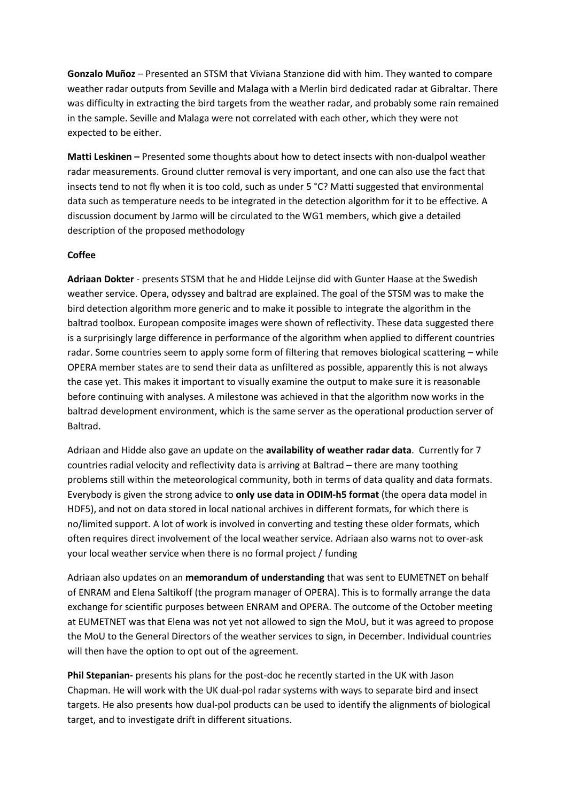**Gonzalo Muñoz** – Presented an STSM that Viviana Stanzione did with him. They wanted to compare weather radar outputs from Seville and Malaga with a Merlin bird dedicated radar at Gibraltar. There was difficulty in extracting the bird targets from the weather radar, and probably some rain remained in the sample. Seville and Malaga were not correlated with each other, which they were not expected to be either.

**Matti Leskinen –** Presented some thoughts about how to detect insects with non-dualpol weather radar measurements. Ground clutter removal is very important, and one can also use the fact that insects tend to not fly when it is too cold, such as under 5 °C? Matti suggested that environmental data such as temperature needs to be integrated in the detection algorithm for it to be effective. A discussion document by Jarmo will be circulated to the WG1 members, which give a detailed description of the proposed methodology

### **Coffee**

**Adriaan Dokter** - presents STSM that he and Hidde Leijnse did with Gunter Haase at the Swedish weather service. Opera, odyssey and baltrad are explained. The goal of the STSM was to make the bird detection algorithm more generic and to make it possible to integrate the algorithm in the baltrad toolbox. European composite images were shown of reflectivity. These data suggested there is a surprisingly large difference in performance of the algorithm when applied to different countries radar. Some countries seem to apply some form of filtering that removes biological scattering – while OPERA member states are to send their data as unfiltered as possible, apparently this is not always the case yet. This makes it important to visually examine the output to make sure it is reasonable before continuing with analyses. A milestone was achieved in that the algorithm now works in the baltrad development environment, which is the same server as the operational production server of Baltrad.

Adriaan and Hidde also gave an update on the **availability of weather radar data**. Currently for 7 countries radial velocity and reflectivity data is arriving at Baltrad – there are many toothing problems still within the meteorological community, both in terms of data quality and data formats. Everybody is given the strong advice to **only use data in ODIM-h5 format** (the opera data model in HDF5), and not on data stored in local national archives in different formats, for which there is no/limited support. A lot of work is involved in converting and testing these older formats, which often requires direct involvement of the local weather service. Adriaan also warns not to over-ask your local weather service when there is no formal project / funding

Adriaan also updates on an **memorandum of understanding** that was sent to EUMETNET on behalf of ENRAM and Elena Saltikoff (the program manager of OPERA). This is to formally arrange the data exchange for scientific purposes between ENRAM and OPERA. The outcome of the October meeting at EUMETNET was that Elena was not yet not allowed to sign the MoU, but it was agreed to propose the MoU to the General Directors of the weather services to sign, in December. Individual countries will then have the option to opt out of the agreement.

**Phil Stepanian-** presents his plans for the post-doc he recently started in the UK with Jason Chapman. He will work with the UK dual-pol radar systems with ways to separate bird and insect targets. He also presents how dual-pol products can be used to identify the alignments of biological target, and to investigate drift in different situations.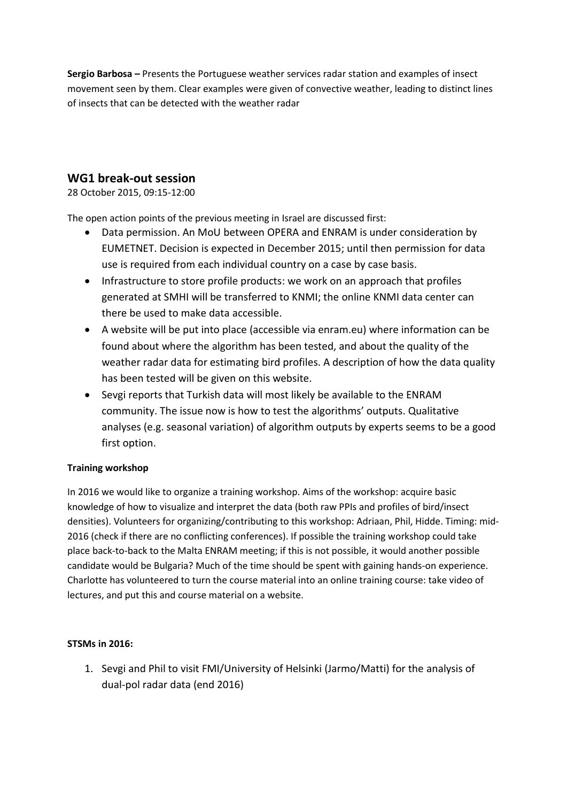**Sergio Barbosa –** Presents the Portuguese weather services radar station and examples of insect movement seen by them. Clear examples were given of convective weather, leading to distinct lines of insects that can be detected with the weather radar

# **WG1 break-out session**

28 October 2015, 09:15-12:00

The open action points of the previous meeting in Israel are discussed first:

- Data permission. An MoU between OPERA and ENRAM is under consideration by EUMETNET. Decision is expected in December 2015; until then permission for data use is required from each individual country on a case by case basis.
- Infrastructure to store profile products: we work on an approach that profiles generated at SMHI will be transferred to KNMI; the online KNMI data center can there be used to make data accessible.
- A website will be put into place (accessible via enram.eu) where information can be found about where the algorithm has been tested, and about the quality of the weather radar data for estimating bird profiles. A description of how the data quality has been tested will be given on this website.
- Sevgi reports that Turkish data will most likely be available to the ENRAM community. The issue now is how to test the algorithms' outputs. Qualitative analyses (e.g. seasonal variation) of algorithm outputs by experts seems to be a good first option.

# **Training workshop**

In 2016 we would like to organize a training workshop. Aims of the workshop: acquire basic knowledge of how to visualize and interpret the data (both raw PPIs and profiles of bird/insect densities). Volunteers for organizing/contributing to this workshop: Adriaan, Phil, Hidde. Timing: mid-2016 (check if there are no conflicting conferences). If possible the training workshop could take place back-to-back to the Malta ENRAM meeting; if this is not possible, it would another possible candidate would be Bulgaria? Much of the time should be spent with gaining hands-on experience. Charlotte has volunteered to turn the course material into an online training course: take video of lectures, and put this and course material on a website.

## **STSMs in 2016:**

1. Sevgi and Phil to visit FMI/University of Helsinki (Jarmo/Matti) for the analysis of dual-pol radar data (end 2016)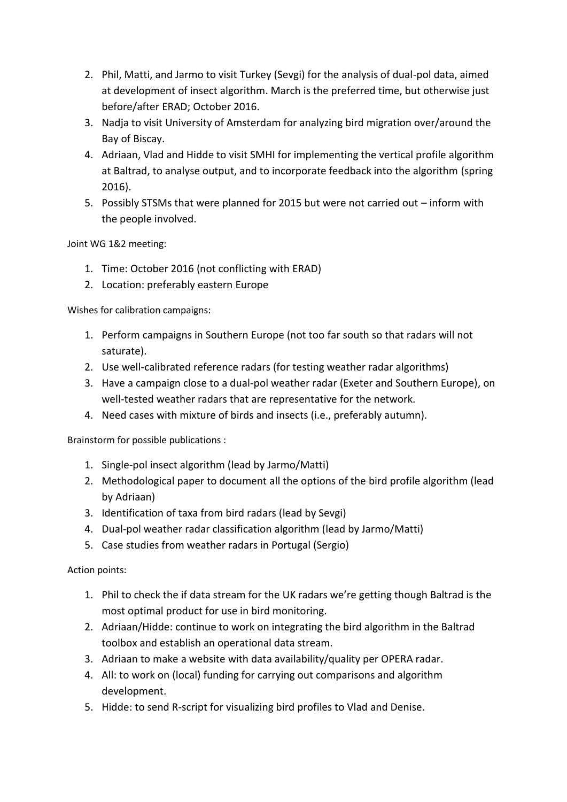- 2. Phil, Matti, and Jarmo to visit Turkey (Sevgi) for the analysis of dual-pol data, aimed at development of insect algorithm. March is the preferred time, but otherwise just before/after ERAD; October 2016.
- 3. Nadja to visit University of Amsterdam for analyzing bird migration over/around the Bay of Biscay.
- 4. Adriaan, Vlad and Hidde to visit SMHI for implementing the vertical profile algorithm at Baltrad, to analyse output, and to incorporate feedback into the algorithm (spring 2016).
- 5. Possibly STSMs that were planned for 2015 but were not carried out inform with the people involved.

Joint WG 1&2 meeting:

- 1. Time: October 2016 (not conflicting with ERAD)
- 2. Location: preferably eastern Europe

Wishes for calibration campaigns:

- 1. Perform campaigns in Southern Europe (not too far south so that radars will not saturate).
- 2. Use well-calibrated reference radars (for testing weather radar algorithms)
- 3. Have a campaign close to a dual-pol weather radar (Exeter and Southern Europe), on well-tested weather radars that are representative for the network.
- 4. Need cases with mixture of birds and insects (i.e., preferably autumn).

Brainstorm for possible publications :

- 1. Single-pol insect algorithm (lead by Jarmo/Matti)
- 2. Methodological paper to document all the options of the bird profile algorithm (lead by Adriaan)
- 3. Identification of taxa from bird radars (lead by Sevgi)
- 4. Dual-pol weather radar classification algorithm (lead by Jarmo/Matti)
- 5. Case studies from weather radars in Portugal (Sergio)

Action points:

- 1. Phil to check the if data stream for the UK radars we're getting though Baltrad is the most optimal product for use in bird monitoring.
- 2. Adriaan/Hidde: continue to work on integrating the bird algorithm in the Baltrad toolbox and establish an operational data stream.
- 3. Adriaan to make a website with data availability/quality per OPERA radar.
- 4. All: to work on (local) funding for carrying out comparisons and algorithm development.
- 5. Hidde: to send R-script for visualizing bird profiles to Vlad and Denise.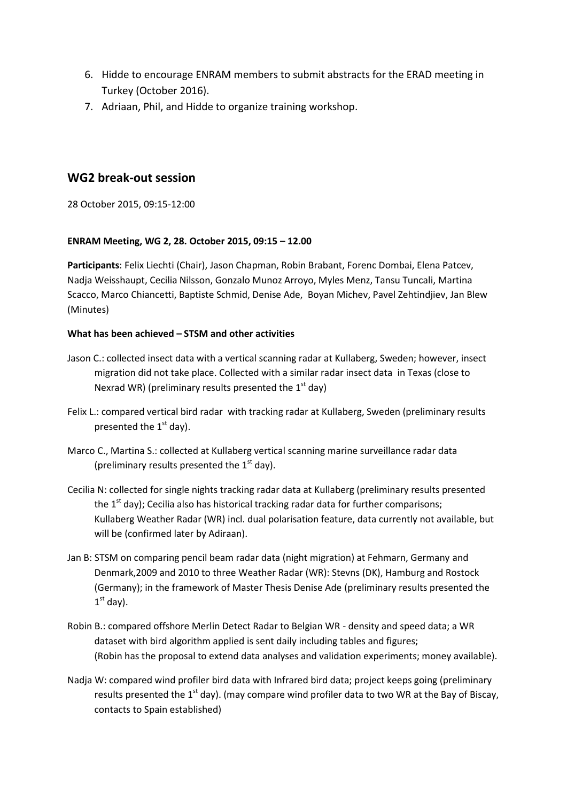- 6. Hidde to encourage ENRAM members to submit abstracts for the ERAD meeting in Turkey (October 2016).
- 7. Adriaan, Phil, and Hidde to organize training workshop.

# **WG2 break-out session**

28 October 2015, 09:15-12:00

### **ENRAM Meeting, WG 2, 28. October 2015, 09:15 – 12.00**

**Participants**: Felix Liechti (Chair), Jason Chapman, Robin Brabant, Forenc Dombai, Elena Patcev, Nadja Weisshaupt, Cecilia Nilsson, Gonzalo Munoz Arroyo, Myles Menz, Tansu Tuncali, Martina Scacco, Marco Chiancetti, Baptiste Schmid, Denise Ade, Boyan Michev, Pavel Zehtindjiev, Jan Blew (Minutes)

### **What has been achieved – STSM and other activities**

- Jason C.: collected insect data with a vertical scanning radar at Kullaberg, Sweden; however, insect migration did not take place. Collected with a similar radar insect data in Texas (close to Nexrad WR) (preliminary results presented the  $1<sup>st</sup>$  day)
- Felix L.: compared vertical bird radar with tracking radar at Kullaberg, Sweden (preliminary results presented the  $1<sup>st</sup>$  day).
- Marco C., Martina S.: collected at Kullaberg vertical scanning marine surveillance radar data (preliminary results presented the  $1<sup>st</sup>$  day).
- Cecilia N: collected for single nights tracking radar data at Kullaberg (preliminary results presented the  $1<sup>st</sup>$  day); Cecilia also has historical tracking radar data for further comparisons; Kullaberg Weather Radar (WR) incl. dual polarisation feature, data currently not available, but will be (confirmed later by Adiraan).
- Jan B: STSM on comparing pencil beam radar data (night migration) at Fehmarn, Germany and Denmark,2009 and 2010 to three Weather Radar (WR): Stevns (DK), Hamburg and Rostock (Germany); in the framework of Master Thesis Denise Ade (preliminary results presented the  $1<sup>st</sup>$  day).
- Robin B.: compared offshore Merlin Detect Radar to Belgian WR density and speed data; a WR dataset with bird algorithm applied is sent daily including tables and figures; (Robin has the proposal to extend data analyses and validation experiments; money available).
- Nadja W: compared wind profiler bird data with Infrared bird data; project keeps going (preliminary results presented the  $1<sup>st</sup>$  day). (may compare wind profiler data to two WR at the Bay of Biscay, contacts to Spain established)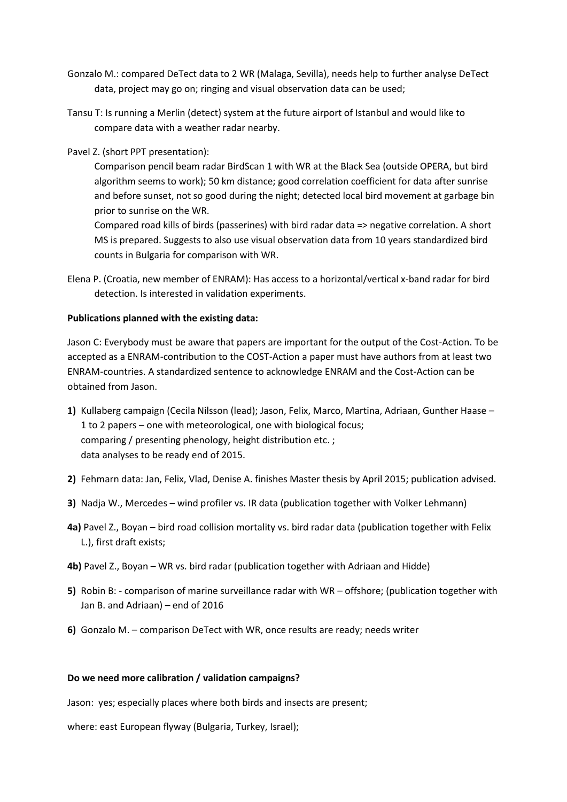- Gonzalo M.: compared DeTect data to 2 WR (Malaga, Sevilla), needs help to further analyse DeTect data, project may go on; ringing and visual observation data can be used;
- Tansu T: Is running a Merlin (detect) system at the future airport of Istanbul and would like to compare data with a weather radar nearby.

Pavel Z. (short PPT presentation):

Comparison pencil beam radar BirdScan 1 with WR at the Black Sea (outside OPERA, but bird algorithm seems to work); 50 km distance; good correlation coefficient for data after sunrise and before sunset, not so good during the night; detected local bird movement at garbage bin prior to sunrise on the WR.

Compared road kills of birds (passerines) with bird radar data => negative correlation. A short MS is prepared. Suggests to also use visual observation data from 10 years standardized bird counts in Bulgaria for comparison with WR.

Elena P. (Croatia, new member of ENRAM): Has access to a horizontal/vertical x-band radar for bird detection. Is interested in validation experiments.

#### **Publications planned with the existing data:**

Jason C: Everybody must be aware that papers are important for the output of the Cost-Action. To be accepted as a ENRAM-contribution to the COST-Action a paper must have authors from at least two ENRAM-countries. A standardized sentence to acknowledge ENRAM and the Cost-Action can be obtained from Jason.

- **1)** Kullaberg campaign (Cecila Nilsson (lead); Jason, Felix, Marco, Martina, Adriaan, Gunther Haase 1 to 2 papers – one with meteorological, one with biological focus; comparing / presenting phenology, height distribution etc. ; data analyses to be ready end of 2015.
- **2)** Fehmarn data: Jan, Felix, Vlad, Denise A. finishes Master thesis by April 2015; publication advised.
- **3)** Nadja W., Mercedes wind profiler vs. IR data (publication together with Volker Lehmann)
- **4a)** Pavel Z., Boyan bird road collision mortality vs. bird radar data (publication together with Felix L.), first draft exists;
- **4b)** Pavel Z., Boyan WR vs. bird radar (publication together with Adriaan and Hidde)
- **5)** Robin B: comparison of marine surveillance radar with WR offshore; (publication together with Jan B. and Adriaan) – end of 2016
- **6)** Gonzalo M. comparison DeTect with WR, once results are ready; needs writer

#### **Do we need more calibration / validation campaigns?**

Jason: yes; especially places where both birds and insects are present;

where: east European flyway (Bulgaria, Turkey, Israel);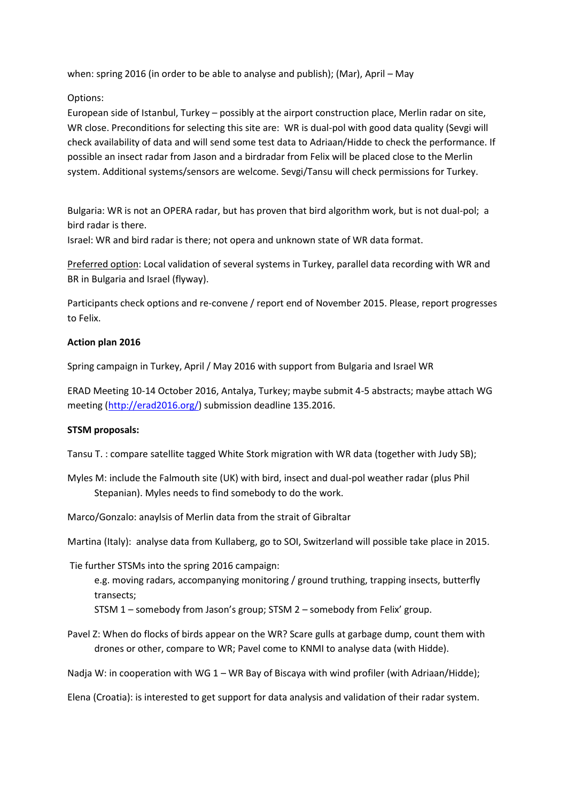when: spring 2016 (in order to be able to analyse and publish); (Mar), April – May

### Options:

European side of Istanbul, Turkey – possibly at the airport construction place, Merlin radar on site, WR close. Preconditions for selecting this site are: WR is dual-pol with good data quality (Sevgi will check availability of data and will send some test data to Adriaan/Hidde to check the performance. If possible an insect radar from Jason and a birdradar from Felix will be placed close to the Merlin system. Additional systems/sensors are welcome. Sevgi/Tansu will check permissions for Turkey.

Bulgaria: WR is not an OPERA radar, but has proven that bird algorithm work, but is not dual-pol; a bird radar is there.

Israel: WR and bird radar is there; not opera and unknown state of WR data format.

Preferred option: Local validation of several systems in Turkey, parallel data recording with WR and BR in Bulgaria and Israel (flyway).

Participants check options and re-convene / report end of November 2015. Please, report progresses to Felix.

#### **Action plan 2016**

Spring campaign in Turkey, April / May 2016 with support from Bulgaria and Israel WR

ERAD Meeting 10-14 October 2016, Antalya, Turkey; maybe submit 4-5 abstracts; maybe attach WG meeting [\(http://erad2016.org/\)](http://erad2016.org/) submission deadline 135.2016.

#### **STSM proposals:**

Tansu T. : compare satellite tagged White Stork migration with WR data (together with Judy SB);

Myles M: include the Falmouth site (UK) with bird, insect and dual-pol weather radar (plus Phil Stepanian). Myles needs to find somebody to do the work.

Marco/Gonzalo: anaylsis of Merlin data from the strait of Gibraltar

Martina (Italy): analyse data from Kullaberg, go to SOI, Switzerland will possible take place in 2015.

Tie further STSMs into the spring 2016 campaign:

e.g. moving radars, accompanying monitoring / ground truthing, trapping insects, butterfly transects;

STSM 1 – somebody from Jason's group; STSM 2 – somebody from Felix' group.

Pavel Z: When do flocks of birds appear on the WR? Scare gulls at garbage dump, count them with drones or other, compare to WR; Pavel come to KNMI to analyse data (with Hidde).

Nadja W: in cooperation with WG 1 – WR Bay of Biscaya with wind profiler (with Adriaan/Hidde);

Elena (Croatia): is interested to get support for data analysis and validation of their radar system.